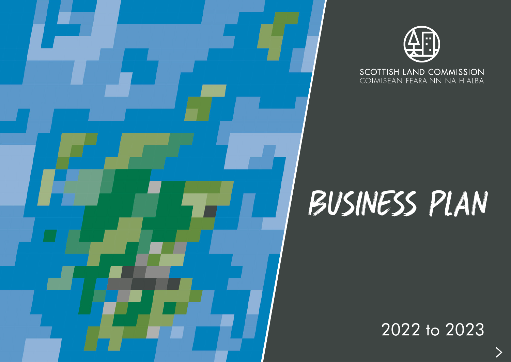



**SCOTTISH LAND COMMISSION** COIMISEAN FEARAINN NA H-ALBA

# Business Plan

2022 to 2023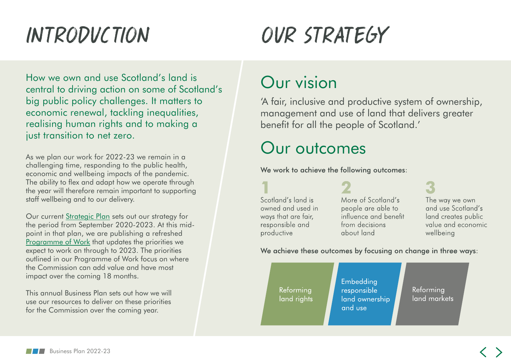## INTRODUCTION

## OUR STRATEGY

How we own and use Scotland's land is central to driving action on some of Scotland's big public policy challenges. It matters to economic renewal, tackling inequalities, realising human rights and to making a just transition to net zero.

As we plan our work for 2022-23 we remain in a challenging time, responding to the public health, economic and wellbeing impacts of the pandemic. The ability to flex and adapt how we operate through the year will therefore remain important to supporting staff wellbeing and to our delivery.

Our current [Strategic Plan](https://www.landcommission.gov.scot/downloads/5f71bb08f3f6a_Scottish%20Land%20Commission%20Strategic%20Plan%202020-23.pdf) sets out our strategy for the period from September 2020-2023. At this midpoint in that plan, we are publishing a refreshed [Programme of Work](https://www.landcommission.gov.scot/downloads/624459004d919_Programme of Work 2022-23.pdf) that updates the priorities we expect to work on through to 2023. The priorities outlined in our Programme of Work focus on where the Commission can add value and have most impact over the coming 18 months.

This annual Business Plan sets out how we will use our resources to deliver on these priorities for the Commission over the coming year.

## Our vision

'A fair, inclusive and productive system of ownership, management and use of land that delivers greater benefit for all the people of Scotland.'

## Our outcomes

We work to achieve the following outcomes:

Scotland's land is owned and used in ways that are fair, responsible and productive

More of Scotland's people are able to influence and benefit from decisions about land

The way we own and use Scotland's land creates public value and economic wellbeing

We achieve these outcomes by focusing on change in three ways:

Reforming land rights Embedding responsible land ownership and use

Reforming land markets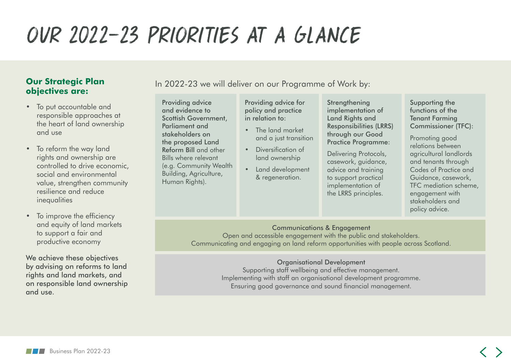## OUR 2022-23 PRIORITIES AT A GLANCE

#### **Our Strategic Plan objectives are:**

- To put accountable and responsible approaches at the heart of land ownership and use
- To reform the way land rights and ownership are controlled to drive economic, social and environmental value, strengthen community resilience and reduce inequalities
- To improve the efficiency and equity of land markets to support a fair and productive economy

We achieve these objectives by advising on reforms to land rights and land markets, and on responsible land ownership and use.

In 2022-23 we will deliver on our Programme of Work by:

Providing advice and evidence to Scottish Government, Parliament and stakeholders on the proposed Land Reform Bill and other Bills where relevant (e.g. Community Wealth Building, Agriculture, Human Rights).

Providing advice for policy and practice in relation to:

- The land market and a just transition
- Diversification of land ownership
- Land development & regeneration.

**Strengthening** implementation of Land Rights and Responsibilities (LRRS) through our Good Practice Programme:

Delivering Protocols, casework, guidance, advice and training to support practical implementation of the LRRS principles.

Supporting the functions of the Tenant Farming Commissioner (TFC):

Promoting good relations between agricultural landlords and tenants through Codes of Practice and Guidance, casework, TFC mediation scheme, engagement with stakeholders and policy advice.

#### Communications & Engagement

Open and accessible engagement with the public and stakeholders. Communicating and engaging on land reform opportunities with people across Scotland.

#### Organisational Development

Supporting staff wellbeing and effective management. Implementing with staff an organisational development programme. Ensuring good governance and sound financial management.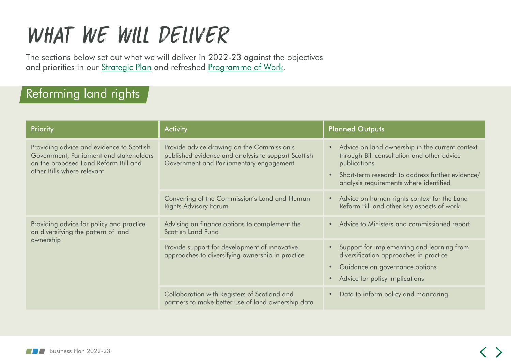## WHAT WE WILL DELIVER

The sections below set out what we will deliver in 2022-23 against the objectives and priorities in our [Strategic Plan](https://www.landcommission.gov.scot/downloads/5f71bb08f3f6a_Scottish%20Land%20Commission%20Strategic%20Plan%202020-23.pdf) and refreshed [Programme of Work](https://www.landcommission.gov.scot/downloads/624459004d919_Programme of Work 2022-23.pdf).

#### Reforming land rights

| Priority                                                                                                                                                   | <b>Activity</b>                                                                                                                              | <b>Planned Outputs</b>                                                                                                                                                                                                                |
|------------------------------------------------------------------------------------------------------------------------------------------------------------|----------------------------------------------------------------------------------------------------------------------------------------------|---------------------------------------------------------------------------------------------------------------------------------------------------------------------------------------------------------------------------------------|
| Providing advice and evidence to Scottish<br>Government, Parliament and stakeholders<br>on the proposed Land Reform Bill and<br>other Bills where relevant | Provide advice drawing on the Commission's<br>published evidence and analysis to support Scottish<br>Government and Parliamentary engagement | Advice on land ownership in the current context<br>$\bullet$<br>through Bill consultation and other advice<br>publications<br>Short-term research to address further evidence/<br>$\bullet$<br>analysis requirements where identified |
|                                                                                                                                                            | Convening of the Commission's Land and Human<br><b>Rights Advisory Forum</b>                                                                 | • Advice on human rights context for the Land<br>Reform Bill and other key aspects of work                                                                                                                                            |
| Providing advice for policy and practice<br>on diversifying the pattern of land<br>ownership                                                               | Advising on finance options to complement the<br>Scottish Land Fund                                                                          | • Advice to Ministers and commissioned report                                                                                                                                                                                         |
|                                                                                                                                                            | Provide support for development of innovative<br>approaches to diversifying ownership in practice                                            | Support for implementing and learning from<br>$\bullet$<br>diversification approaches in practice<br>Guidance on governance options<br>$\bullet$<br>Advice for policy implications<br>$\bullet$                                       |
|                                                                                                                                                            | Collaboration with Registers of Scotland and<br>partners to make better use of land ownership data                                           | Data to inform policy and monitoring<br>$\bullet$                                                                                                                                                                                     |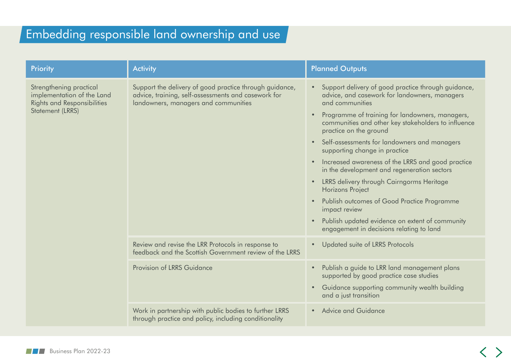### Embedding responsible land ownership and use

| <b>Priority</b>                                                                                                        | <b>Activity</b>                                                                                                                                        | <b>Planned Outputs</b>                                                                                                                                                                                                                                                                                                                                                                                                                                                                                                                                                                                                                                                                                                                      |
|------------------------------------------------------------------------------------------------------------------------|--------------------------------------------------------------------------------------------------------------------------------------------------------|---------------------------------------------------------------------------------------------------------------------------------------------------------------------------------------------------------------------------------------------------------------------------------------------------------------------------------------------------------------------------------------------------------------------------------------------------------------------------------------------------------------------------------------------------------------------------------------------------------------------------------------------------------------------------------------------------------------------------------------------|
| Strengthening practical<br>implementation of the Land<br><b>Rights and Responsibilities</b><br><b>Statement (LRRS)</b> | Support the delivery of good practice through guidance,<br>advice, training, self-assessments and casework for<br>landowners, managers and communities | Support delivery of good practice through guidance,<br>advice, and casework for landowners, managers<br>and communities<br>Programme of training for landowners, managers,<br>$\bullet$<br>communities and other key stakeholders to influence<br>practice on the ground<br>Self-assessments for landowners and managers<br>$\bullet$<br>supporting change in practice<br>Increased awareness of the LRRS and good practice<br>$\bullet$<br>in the development and regeneration sectors<br>LRRS delivery through Cairngorms Heritage<br>$\bullet$<br><b>Horizons Project</b><br>Publish outcomes of Good Practice Programme<br>impact review<br>Publish updated evidence on extent of community<br>engagement in decisions relating to land |
|                                                                                                                        | Review and revise the LRR Protocols in response to<br>feedback and the Scottish Government review of the LRRS                                          | Updated suite of LRRS Protocols<br>$\bullet$                                                                                                                                                                                                                                                                                                                                                                                                                                                                                                                                                                                                                                                                                                |
|                                                                                                                        | Provision of LRRS Guidance                                                                                                                             | Publish a guide to LRR land management plans<br>$\bullet$<br>supported by good practice case studies<br>Guidance supporting community wealth building<br>$\bullet$<br>and a just transition                                                                                                                                                                                                                                                                                                                                                                                                                                                                                                                                                 |
|                                                                                                                        | Work in partnership with public bodies to further LRRS<br>through practice and policy, including conditionality                                        | • Advice and Guidance                                                                                                                                                                                                                                                                                                                                                                                                                                                                                                                                                                                                                                                                                                                       |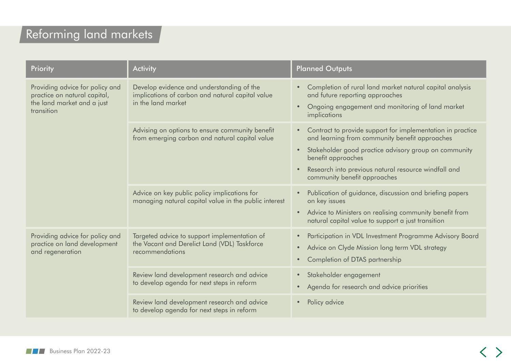### Reforming land markets

| Priority                                                                                                    | <b>Activity</b>                                                                                                     | <b>Planned Outputs</b>                                                                                                                                                                                                                                                                           |  |
|-------------------------------------------------------------------------------------------------------------|---------------------------------------------------------------------------------------------------------------------|--------------------------------------------------------------------------------------------------------------------------------------------------------------------------------------------------------------------------------------------------------------------------------------------------|--|
| Providing advice for policy and<br>practice on natural capital,<br>the land market and a just<br>transition | Develop evidence and understanding of the<br>implications of carbon and natural capital value<br>in the land market | Completion of rural land market natural capital analysis<br>and future reporting approaches<br>Ongoing engagement and monitoring of land market<br>implications                                                                                                                                  |  |
|                                                                                                             | Advising on options to ensure community benefit<br>from emerging carbon and natural capital value                   | Contract to provide support for implementation in practice<br>$\bullet$<br>and learning from community benefit approaches<br>Stakeholder good practice advisory group on community<br>benefit approaches<br>Research into previous natural resource windfall and<br>community benefit approaches |  |
|                                                                                                             | Advice on key public policy implications for<br>managing natural capital value in the public interest               | Publication of guidance, discussion and briefing papers<br>on key issues<br>Advice to Ministers on realising community benefit from<br>natural capital value to support a just transition                                                                                                        |  |
| Providing advice for policy and<br>practice on land development<br>and regeneration                         | Targeted advice to support implementation of<br>the Vacant and Derelict Land (VDL) Taskforce<br>recommendations     | Participation in VDL Investment Programme Advisory Board<br>Advice on Clyde Mission long term VDL strategy<br>Completion of DTAS partnership                                                                                                                                                     |  |
|                                                                                                             | Review land development research and advice<br>to develop agenda for next steps in reform                           | Stakeholder engagement<br>Agenda for research and advice priorities                                                                                                                                                                                                                              |  |
|                                                                                                             | Review land development research and advice<br>to develop agenda for next steps in reform                           | Policy advice                                                                                                                                                                                                                                                                                    |  |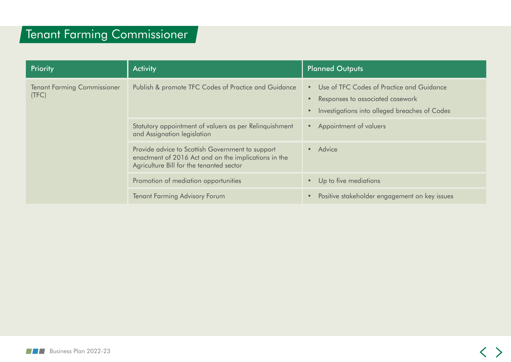#### Tenant Farming Commissioner

| Priority                                    | <b>Activity</b>                                                                                                                                      | <b>Planned Outputs</b>                                                                                                         |  |
|---------------------------------------------|------------------------------------------------------------------------------------------------------------------------------------------------------|--------------------------------------------------------------------------------------------------------------------------------|--|
| <b>Tenant Farming Commissioner</b><br>(TFC) | Publish & promote TFC Codes of Practice and Guidance                                                                                                 | Use of TFC Codes of Practice and Guidance<br>Responses to associated casework<br>Investigations into alleged breaches of Codes |  |
|                                             | Statutory appointment of valuers as per Relinquishment<br>and Assignation legislation                                                                | Appointment of valuers                                                                                                         |  |
|                                             | Provide advice to Scottish Government to support<br>enactment of 2016 Act and on the implications in the<br>Agriculture Bill for the tenanted sector | • Advice                                                                                                                       |  |
|                                             | Promotion of mediation opportunities                                                                                                                 | Up to five mediations                                                                                                          |  |
|                                             | <b>Tenant Farming Advisory Forum</b>                                                                                                                 | Positive stakeholder engagement on key issues                                                                                  |  |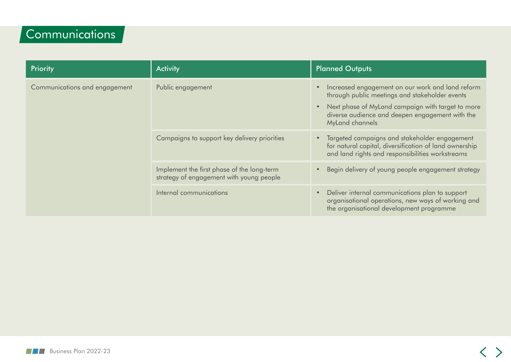### Communications

| Priority                      | <b>Activity</b>                                                                        | <b>Planned Outputs</b>                                                                                                                                                                                                                                  |  |
|-------------------------------|----------------------------------------------------------------------------------------|---------------------------------------------------------------------------------------------------------------------------------------------------------------------------------------------------------------------------------------------------------|--|
| Communications and engagement | Public engagement                                                                      | Increased engagement on our work and land reform<br>$\bullet$<br>through public meetings and stakeholder events<br>Next phase of MyLand campaign with target to more<br>$\bullet$<br>diverse audience and deepen engagement with the<br>MyLand channels |  |
|                               | Campaigns to support key delivery priorities                                           | Targeted campaigns and stakeholder engagement<br>$\bullet$<br>for natural capital, diversification of land ownership<br>and land rights and responsibilities workstreams                                                                                |  |
|                               | Implement the first phase of the long-term<br>strategy of engagement with young people | Begin delivery of young people engagement strategy<br>$\bullet$                                                                                                                                                                                         |  |
|                               | Internal communications                                                                | Deliver internal communications plan to support<br>$\bullet$<br>organisational operations, new ways of working and<br>the organisational development programme                                                                                          |  |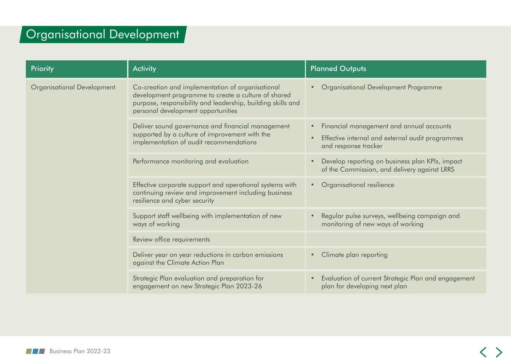#### Organisational Development

| Priority                          | <b>Activity</b>                                                                                                                                                                                              | <b>Planned Outputs</b>                                                                                                                         |
|-----------------------------------|--------------------------------------------------------------------------------------------------------------------------------------------------------------------------------------------------------------|------------------------------------------------------------------------------------------------------------------------------------------------|
| <b>Organisational Development</b> | Co-creation and implementation of organisational<br>development programme to create a culture of shared<br>purpose, responsibility and leadership, building skills and<br>personal development opportunities | Organisational Development Programme                                                                                                           |
|                                   | Deliver sound governance and financial management<br>supported by a culture of improvement with the<br>implementation of audit recommendations                                                               | Financial management and annual accounts<br>$\bullet$<br>Effective internal and external audit programmes<br>$\bullet$<br>and response tracker |
|                                   | Performance monitoring and evaluation                                                                                                                                                                        | Develop reporting on business plan KPIs, impact<br>of the Commission, and delivery against LRRS                                                |
|                                   | Effective corporate support and operational systems with<br>continuing review and improvement including business<br>resilience and cyber security                                                            | Organisational resilience<br>$\bullet$                                                                                                         |
|                                   | Support staff wellbeing with implementation of new<br>ways of working                                                                                                                                        | Regular pulse surveys, wellbeing campaign and<br>monitoring of new ways of working                                                             |
|                                   | Review office requirements                                                                                                                                                                                   |                                                                                                                                                |
|                                   | Deliver year on year reductions in carbon emissions<br>against the Climate Action Plan                                                                                                                       | Climate plan reporting<br>$\bullet$                                                                                                            |
|                                   | Strategic Plan evaluation and preparation for<br>engagement on new Strategic Plan 2023-26                                                                                                                    | Evaluation of current Strategic Plan and engagement<br>plan for developing next plan                                                           |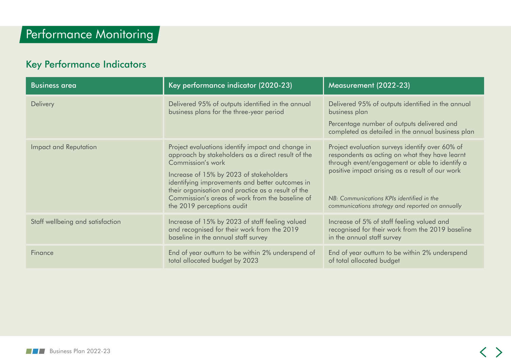#### Key Performance Indicators

| <b>Business area</b>             | Key performance indicator (2020-23)                                                                                                                                                                                                                                                                                                                               | Measurement (2022-23)                                                                                                                                                                                                                                                                                   |
|----------------------------------|-------------------------------------------------------------------------------------------------------------------------------------------------------------------------------------------------------------------------------------------------------------------------------------------------------------------------------------------------------------------|---------------------------------------------------------------------------------------------------------------------------------------------------------------------------------------------------------------------------------------------------------------------------------------------------------|
| <b>Delivery</b>                  | Delivered 95% of outputs identified in the annual<br>business plans for the three-year period                                                                                                                                                                                                                                                                     | Delivered 95% of outputs identified in the annual<br>business plan<br>Percentage number of outputs delivered and<br>completed as detailed in the annual business plan                                                                                                                                   |
| Impact and Reputation            | Project evaluations identify impact and change in<br>approach by stakeholders as a direct result of the<br>Commission's work<br>Increase of 15% by 2023 of stakeholders<br>identifying improvements and better outcomes in<br>their organisation and practice as a result of the<br>Commission's areas of work from the baseline of<br>the 2019 perceptions audit | Project evaluation surveys identify over 60% of<br>respondents as acting on what they have learnt<br>through event/engagement or able to identify a<br>positive impact arising as a result of our work<br>NB: Communications KPIs identified in the<br>communications strategy and reported on annually |
| Staff wellbeing and satisfaction | Increase of 15% by 2023 of staff feeling valued<br>and recognised for their work from the 2019<br>baseline in the annual staff survey                                                                                                                                                                                                                             | Increase of 5% of staff feeling valued and<br>recognised for their work from the 2019 baseline<br>in the annual staff survey                                                                                                                                                                            |
| Finance                          | End of year outturn to be within 2% underspend of<br>total allocated budget by 2023                                                                                                                                                                                                                                                                               | End of year outturn to be within 2% underspend<br>of total allocated budget                                                                                                                                                                                                                             |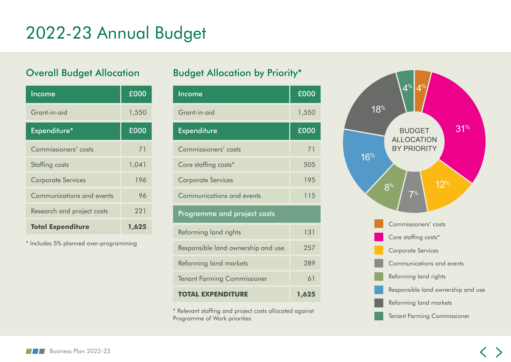## 2022-23 Annual Budget

#### Overall Budget Allocation

| Income                     | £000  |
|----------------------------|-------|
| Grant-in-aid               | 1,550 |
| Expenditure*               | £000  |
| Commissioners' costs       | 71    |
| Staffing costs             | 1,041 |
| <b>Corporate Services</b>  | 196   |
| Communications and events  | 96    |
| Research and project costs | 221   |
| <b>Total Expenditure</b>   | 1,625 |

\* Includes 5% planned over-programming

#### Budget Allocation by Priority\*

| Income                             | £000  |  |
|------------------------------------|-------|--|
| Grant-in-aid                       | 1,550 |  |
| <b>Expenditure</b>                 | £000  |  |
| Commissioners' costs               | 71    |  |
| Core staffing costs*               | 505   |  |
| <b>Corporate Services</b>          | 195   |  |
| Communications and events          | 115   |  |
| Programme and project costs        |       |  |
| Reforming land rights              | 131   |  |
| Responsible land ownership and use | 257   |  |
| Reforming land markets             | 289   |  |
| <b>Tenant Farming Commissioner</b> | 61    |  |
| OTAL EXPENDITURE                   | 1,625 |  |

\* Relevant staffing and project costs allocated against Programme of Work priorities